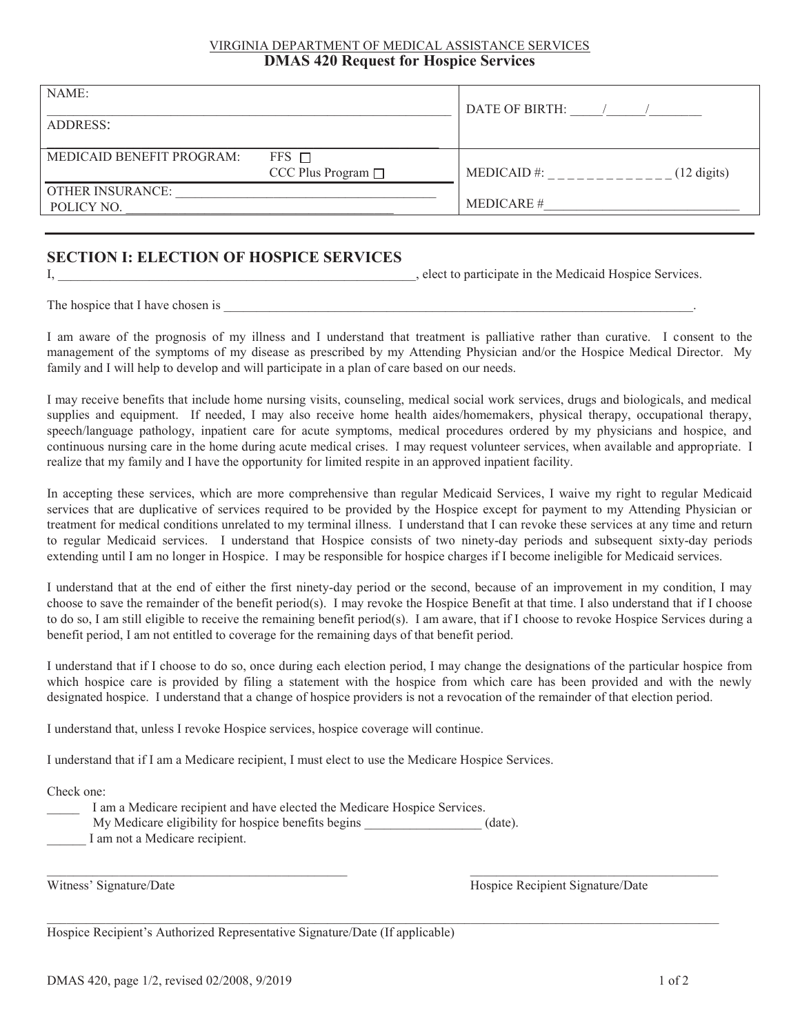#### VIRGINIA DEPARTMENT OF MEDICAL ASSISTANCE SERVICES **DMAS 420 Request for Hospice Services**

| NAME:<br>ADDRESS:                     |                                         | DATE OF BIRTH:   |                       |
|---------------------------------------|-----------------------------------------|------------------|-----------------------|
| MEDICAID BENEFIT PROGRAM:             | $FFS$ $\Box$<br>CCC Plus Program $\Box$ | $MEDICAID$ #:    | $(12 \text{ digits})$ |
| <b>OTHER INSURANCE:</b><br>POLICY NO. |                                         | <b>MEDICARE#</b> |                       |

### **SECTION I: ELECTION OF HOSPICE SERVICES**

I, \_\_\_\_\_\_\_\_\_\_\_\_\_\_\_\_\_\_\_\_\_\_\_\_\_\_\_\_\_\_\_\_\_\_\_\_\_\_\_\_\_\_\_\_\_\_\_\_\_\_\_\_\_\_\_, elect to participate in the Medicaid Hospice Services.

The hospice that I have chosen is

I am aware of the prognosis of my illness and I understand that treatment is palliative rather than curative. I consent to the management of the symptoms of my disease as prescribed by my Attending Physician and/or the Hospice Medical Director. My family and I will help to develop and will participate in a plan of care based on our needs.

I may receive benefits that include home nursing visits, counseling, medical social work services, drugs and biologicals, and medical supplies and equipment. If needed, I may also receive home health aides/homemakers, physical therapy, occupational therapy, speech/language pathology, inpatient care for acute symptoms, medical procedures ordered by my physicians and hospice, and continuous nursing care in the home during acute medical crises. I may request volunteer services, when available and appropriate. I realize that my family and I have the opportunity for limited respite in an approved inpatient facility.

In accepting these services, which are more comprehensive than regular Medicaid Services, I waive my right to regular Medicaid services that are duplicative of services required to be provided by the Hospice except for payment to my Attending Physician or treatment for medical conditions unrelated to my terminal illness. I understand that I can revoke these services at any time and return to regular Medicaid services. I understand that Hospice consists of two ninety-day periods and subsequent sixty-day periods extending until I am no longer in Hospice. I may be responsible for hospice charges if I become ineligible for Medicaid services.

I understand that at the end of either the first ninety-day period or the second, because of an improvement in my condition, I may choose to save the remainder of the benefit period(s). I may revoke the Hospice Benefit at that time. I also understand that if I choose to do so, I am still eligible to receive the remaining benefit period(s). I am aware, that if I choose to revoke Hospice Services during a benefit period, I am not entitled to coverage for the remaining days of that benefit period.

I understand that if I choose to do so, once during each election period, I may change the designations of the particular hospice from which hospice care is provided by filing a statement with the hospice from which care has been provided and with the newly designated hospice. I understand that a change of hospice providers is not a revocation of the remainder of that election period.

 $\mathcal{L}_\mathcal{L} = \mathcal{L}_\mathcal{L} = \mathcal{L}_\mathcal{L} = \mathcal{L}_\mathcal{L} = \mathcal{L}_\mathcal{L} = \mathcal{L}_\mathcal{L} = \mathcal{L}_\mathcal{L} = \mathcal{L}_\mathcal{L} = \mathcal{L}_\mathcal{L} = \mathcal{L}_\mathcal{L} = \mathcal{L}_\mathcal{L} = \mathcal{L}_\mathcal{L} = \mathcal{L}_\mathcal{L} = \mathcal{L}_\mathcal{L} = \mathcal{L}_\mathcal{L} = \mathcal{L}_\mathcal{L} = \mathcal{L}_\mathcal{L}$ 

 $\mathcal{L}_\mathcal{L} = \mathcal{L}_\mathcal{L} = \mathcal{L}_\mathcal{L} = \mathcal{L}_\mathcal{L} = \mathcal{L}_\mathcal{L} = \mathcal{L}_\mathcal{L} = \mathcal{L}_\mathcal{L} = \mathcal{L}_\mathcal{L} = \mathcal{L}_\mathcal{L} = \mathcal{L}_\mathcal{L} = \mathcal{L}_\mathcal{L} = \mathcal{L}_\mathcal{L} = \mathcal{L}_\mathcal{L} = \mathcal{L}_\mathcal{L} = \mathcal{L}_\mathcal{L} = \mathcal{L}_\mathcal{L} = \mathcal{L}_\mathcal{L}$ 

I understand that, unless I revoke Hospice services, hospice coverage will continue.

I understand that if I am a Medicare recipient, I must elect to use the Medicare Hospice Services.

Check one:

- I am a Medicare recipient and have elected the Medicare Hospice Services.
- My Medicare eligibility for hospice benefits begins (date).

I am not a Medicare recipient.

Witness' Signature/Date **Hospice Recipient Signature/Date** Hospice Recipient Signature/Date

Hospice Recipient's Authorized Representative Signature/Date (If applicable)